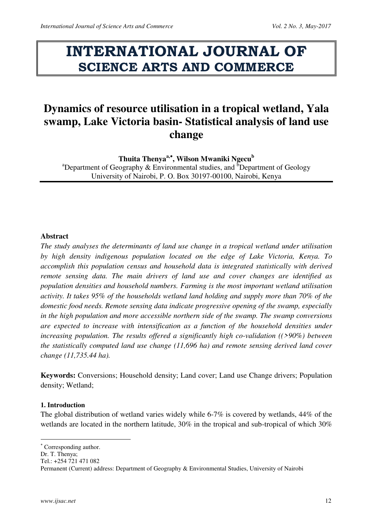# **INTERNATIONAL JOURNAL OF SCIENCE ARTS AND COMMERCE**

# **Dynamics of resource utilisation in a tropical wetland, Yala swamp, Lake Victoria basin- Statistical analysis of land use change**

**Thuita Thenyaa, , Wilson Mwaniki Ngecu<sup>b</sup>**

<sup>a</sup>Department of Geography & Environmental studies, and <sup>b</sup>Department of Geology University of Nairobi, P. O. Box 30197-00100, Nairobi, Kenya

# **Abstract**

*The study analyses the determinants of land use change in a tropical wetland under utilisation by high density indigenous population located on the edge of Lake Victoria, Kenya. To accomplish this population census and household data is integrated statistically with derived remote sensing data. The main drivers of land use and cover changes are identified as population densities and household numbers. Farming is the most important wetland utilisation activity. It takes 95% of the households wetland land holding and supply more than 70% of the domestic food needs. Remote sensing data indicate progressive opening of the swamp, especially in the high population and more accessible northern side of the swamp. The swamp conversions are expected to increase with intensification as a function of the household densities under increasing population. The results offered a significantly high co-validation ((>90%) between the statistically computed land use change (11,696 ha) and remote sensing derived land cover change (11,735.44 ha).* 

**Keywords:** Conversions; Household density; Land cover; Land use Change drivers; Population density; Wetland;

## **1. Introduction**

The global distribution of wetland varies widely while 6-7% is covered by wetlands, 44% of the wetlands are located in the northern latitude, 30% in the tropical and sub-tropical of which 30%

 $\overline{a}$ 

 Corresponding author.

Dr. T. Thenya;

Tel.: +254 721 471 082

Permanent (Current) address: Department of Geography & Environmental Studies, University of Nairobi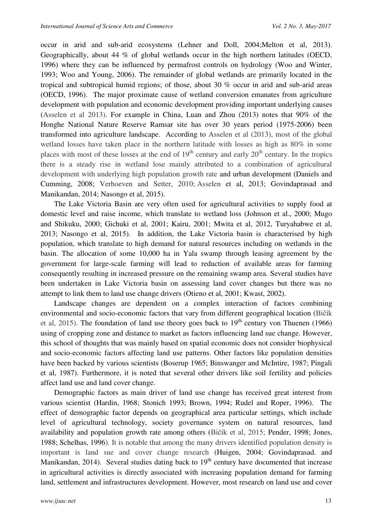occur in arid and sub-arid ecosystems (Lehner and Doll, 2004;Melton et al, 2013). Geographically, about 44 % of global wetlands occur in the high northern latitudes (OECD, 1996) where they can be influenced by permafrost controls on hydrology (Woo and Winter, 1993; Woo and Young, 2006). The remainder of global wetlands are primarily located in the tropical and subtropical humid regions; of those, about 30 % occur in arid and sub-arid areas (OECD, 1996). The major proximate cause of wetland conversion emanates from agriculture development with population and economic development providing important underlying causes (Asselen et al 2013). For example in China, Luan and Zhou (2013) notes that 90% of the Honghe National Nature Reserve Ramsar site has over 30 years period (1975-2006) been transformed into agriculture landscape. According to Asselen et al (2013), most of the global wetland losses have taken place in the northern latitude with losses as high as 80% in some places with most of these losses at the end of  $19<sup>th</sup>$  century and early  $20<sup>th</sup>$  century. In the tropics there is a steady rise in wetland lose mainly attributed to a combination of agricultural development with underlying high population growth rate and urban development (Daniels and Cumming, 2008; Verhoeven and Setter, 2010; Asselen et al, 2013; Govindaprasad and Manikandan, 2014; Nasongo et al, 2015).

The Lake Victoria Basin are very often used for agricultural activities to supply food at domestic level and raise income, which translate to wetland loss (Johnson et al., 2000; Mugo and Shikuku, 2000; Gichuki et al, 2001; Kairu, 2001; Mwita et al, 2012, Turyahabwe et al, 2013; Nasongo et al, 2015). In addition, the Lake Victoria basin is characterised by high population, which translate to high demand for natural resources including on wetlands in the basin. The allocation of some 10,000 ha in Yala swamp through leasing agreement by the government for large-scale farming will lead to reduction of available areas for farming consequently resulting in increased pressure on the remaining swamp area. Several studies have been undertaken in Lake Victoria basin on assessing land cover changes but there was no attempt to link them to land use change drivers (Otieno et al, 2001; Kwast, 2002).

Landscape changes are dependent on a complex interaction of factors combining environmental and socio-economic factors that vary from different geographical location (Bičík et al, 2015). The foundation of land use theory goes back to  $19<sup>th</sup>$  century von Thuenen (1966) using of cropping zone and distance to market as factors influencing land sue change. However, this school of thoughts that was mainly based on spatial economic does not consider biophysical and socio-economic factors affecting land use patterns. Other factors like population densities have been backed by various scientists (Boserup 1965; Binswanger and McIntire, 1987; Pingali et al, 1987). Furthermore, it is noted that several other drivers like soil fertility and policies affect land use and land cover change.

Demographic factors as main driver of land use change has received great interest from various scientist (Hardin, 1968; Stonich 1993; Brown, 1994; Rudel and Roper, 1996). The effect of demographic factor depends on geographical area particular settings, which include level of agricultural technology, society governance system on natural resources, land availability and population growth rate among others (Bičík et al, 2015; Pender, 1998; Jones, 1988; Schelhas, 1996). It is notable that among the many drivers identified population density is important is land sue and cover change research (Huigen, 2004; Govindaprasad. and Manikandan, 2014). Several studies dating back to  $19<sup>th</sup>$  century have documented that increase in agricultural activities is directly associated with increasing population demand for farming land, settlement and infrastructures development. However, most research on land use and cover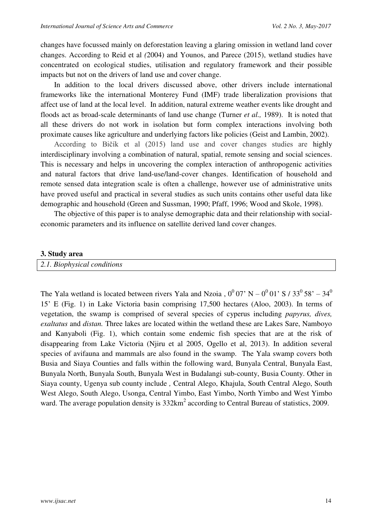changes have focussed mainly on deforestation leaving a glaring omission in wetland land cover changes. According to Reid et al *(*2004) and Younos, and Parece (2015), wetland studies have concentrated on ecological studies, utilisation and regulatory framework and their possible impacts but not on the drivers of land use and cover change.

In addition to the local drivers discussed above, other drivers include international frameworks like the international Monterey Fund (IMF) trade liberalization provisions that affect use of land at the local level. In addition, natural extreme weather events like drought and floods act as broad-scale determinants of land use change (Turner *et al.,* 1989). It is noted that all these drivers do not work in isolation but form complex interactions involving both proximate causes like agriculture and underlying factors like policies (Geist and Lambin, 2002).

According to Bičík et al (2015) land use and cover changes studies are highly interdisciplinary involving a combination of natural, spatial, remote sensing and social sciences. This is necessary and helps in uncovering the complex interaction of anthropogenic activities and natural factors that drive land-use/land-cover changes. Identification of household and remote sensed data integration scale is often a challenge, however use of administrative units have proved useful and practical in several studies as such units contains other useful data like demographic and household (Green and Sussman, 1990; Pfaff, 1996; Wood and Skole, 1998).

The objective of this paper is to analyse demographic data and their relationship with socialeconomic parameters and its influence on satellite derived land cover changes.

#### **3. Study area**

*2.1. Biophysical conditions* 

The Yala wetland is located between rivers Yala and Nzoia,  $0^0$  07' N –  $0^0$  01' S / 33<sup>0</sup> 58' – 34<sup>0</sup> 15' E (Fig. 1) in Lake Victoria basin comprising 17,500 hectares (Aloo, 2003). In terms of vegetation, the swamp is comprised of several species of cyperus including *papyrus, dives, exaltatus* and *distan.* Three lakes are located within the wetland these are Lakes Sare, Namboyo and Kanyaboli (Fig. 1), which contain some endemic fish species that are at the risk of disappearing from Lake Victoria (Njiru et al 2005, Ogello et al, 2013). In addition several species of avifauna and mammals are also found in the swamp. The Yala swamp covers both Busia and Siaya Counties and falls within the following ward, Bunyala Central, Bunyala East, Bunyala North, Bunyala South, Bunyala West in Budalangi sub-county, Busia County. Other in Siaya county, Ugenya sub county include *,* Central Alego, Khajula, South Central Alego, South West Alego, South Alego, Usonga, Central Yimbo, East Yimbo, North Yimbo and West Yimbo ward. The average population density is  $332 \text{km}^2$  according to Central Bureau of statistics, 2009.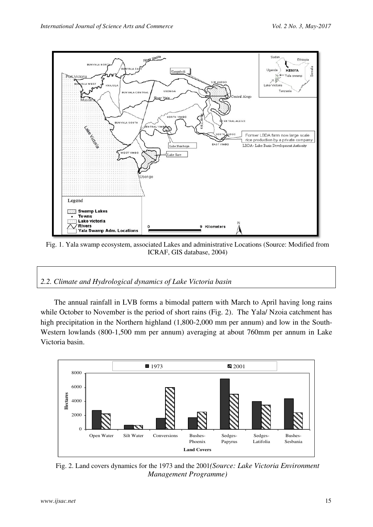

Fig. 1. Yala swamp ecosystem, associated Lakes and administrative Locations (Source: Modified from ICRAF, GIS database, 2004)

*2.2. Climate and Hydrological dynamics of Lake Victoria basin* 

The annual rainfall in LVB forms a bimodal pattern with March to April having long rains while October to November is the period of short rains (Fig. 2).The Yala/ Nzoia catchment has high precipitation in the Northern highland  $(1,800-2,000$  mm per annum) and low in the South-Western lowlands (800-1,500 mm per annum) averaging at about 760mm per annum in Lake Victoria basin.



Fig. 2. Land covers dynamics for the 1973 and the 2001*(Source: Lake Victoria Environment Management Programme)*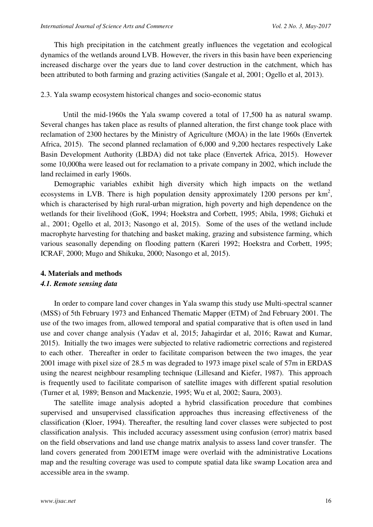This high precipitation in the catchment greatly influences the vegetation and ecological dynamics of the wetlands around LVB. However, the rivers in this basin have been experiencing increased discharge over the years due to land cover destruction in the catchment, which has been attributed to both farming and grazing activities (Sangale et al, 2001; Ogello et al, 2013).

#### 2.3. Yala swamp ecosystem historical changes and socio-economic status

 Until the mid-1960s the Yala swamp covered a total of 17,500 ha as natural swamp. Several changes has taken place as results of planned alteration, the first change took place with reclamation of 2300 hectares by the Ministry of Agriculture (MOA) in the late 1960s (Envertek Africa, 2015). The second planned reclamation of 6,000 and 9,200 hectares respectively Lake Basin Development Authority (LBDA) did not take place (Envertek Africa, 2015). However some 10,000ha were leased out for reclamation to a private company in 2002, which include the land reclaimed in early 1960s.

Demographic variables exhibit high diversity which high impacts on the wetland ecosystems in LVB. There is high population density approximately 1200 persons per  $km^2$ , which is characterised by high rural-urban migration, high poverty and high dependence on the wetlands for their livelihood (GoK, 1994; Hoekstra and Corbett, 1995; Abila, 1998; Gichuki et al., 2001; Ogello et al, 2013; Nasongo et al, 2015). Some of the uses of the wetland include macrophyte harvesting for thatching and basket making, grazing and subsistence farming, which various seasonally depending on flooding pattern (Kareri 1992; Hoekstra and Corbett, 1995; ICRAF, 2000; Mugo and Shikuku, 2000; Nasongo et al, 2015).

#### **4. Materials and methods**

#### *4.1. Remote sensing data*

In order to compare land cover changes in Yala swamp this study use Multi-spectral scanner (MSS) of 5th February 1973 and Enhanced Thematic Mapper (ETM) of 2nd February 2001. The use of the two images from, allowed temporal and spatial comparative that is often used in land use and cover change analysis (Yadav et al, 2015; Jahagirdar et al, 2016; Rawat and Kumar, 2015). Initially the two images were subjected to relative radiometric corrections and registered to each other. Thereafter in order to facilitate comparison between the two images, the year 2001 image with pixel size of 28.5 m was degraded to 1973 image pixel scale of 57m in ERDAS using the nearest neighbour resampling technique (Lillesand and Kiefer, 1987). This approach is frequently used to facilitate comparison of satellite images with different spatial resolution (Turner et al*,* 1989; Benson and Mackenzie, 1995; Wu et al, 2002; Saura, 2003).

The satellite image analysis adopted a hybrid classification procedure that combines supervised and unsupervised classification approaches thus increasing effectiveness of the classification (Kloer, 1994). Thereafter, the resulting land cover classes were subjected to post classification analysis. This included accuracy assessment using confusion (error) matrix based on the field observations and land use change matrix analysis to assess land cover transfer. The land covers generated from 2001ETM image were overlaid with the administrative Locations map and the resulting coverage was used to compute spatial data like swamp Location area and accessible area in the swamp.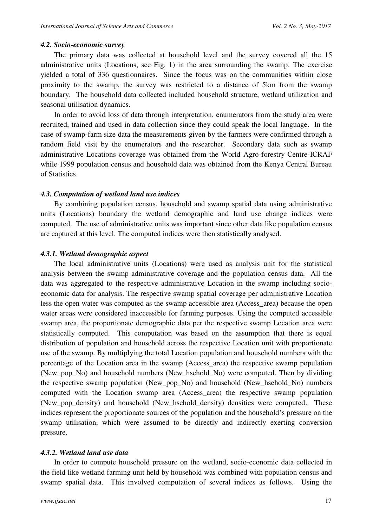#### *4.2. Socio-economic survey*

The primary data was collected at household level and the survey covered all the 15 administrative units (Locations, see Fig. 1) in the area surrounding the swamp. The exercise yielded a total of 336 questionnaires. Since the focus was on the communities within close proximity to the swamp, the survey was restricted to a distance of 5km from the swamp boundary. The household data collected included household structure, wetland utilization and seasonal utilisation dynamics.

In order to avoid loss of data through interpretation, enumerators from the study area were recruited, trained and used in data collection since they could speak the local language. In the case of swamp-farm size data the measurements given by the farmers were confirmed through a random field visit by the enumerators and the researcher. Secondary data such as swamp administrative Locations coverage was obtained from the World Agro-forestry Centre-ICRAF while 1999 population census and household data was obtained from the Kenya Central Bureau of Statistics.

#### *4.3. Computation of wetland land use indices*

By combining population census, household and swamp spatial data using administrative units (Locations) boundary the wetland demographic and land use change indices were computed. The use of administrative units was important since other data like population census are captured at this level. The computed indices were then statistically analysed.

#### *4.3.1. Wetland demographic aspect*

The local administrative units (Locations) were used as analysis unit for the statistical analysis between the swamp administrative coverage and the population census data. All the data was aggregated to the respective administrative Location in the swamp including socioeconomic data for analysis. The respective swamp spatial coverage per administrative Location less the open water was computed as the swamp accessible area (Access\_area) because the open water areas were considered inaccessible for farming purposes. Using the computed accessible swamp area, the proportionate demographic data per the respective swamp Location area were statistically computed. This computation was based on the assumption that there is equal distribution of population and household across the respective Location unit with proportionate use of the swamp. By multiplying the total Location population and household numbers with the percentage of the Location area in the swamp (Access\_area) the respective swamp population (New\_pop\_No) and household numbers (New\_hsehold\_No) were computed. Then by dividing the respective swamp population (New\_pop\_No) and household (New\_hsehold\_No) numbers computed with the Location swamp area (Access\_area) the respective swamp population (New\_pop\_density) and household (New\_hsehold\_density) densities were computed. These indices represent the proportionate sources of the population and the household's pressure on the swamp utilisation, which were assumed to be directly and indirectly exerting conversion pressure.

#### *4.3.2. Wetland land use data*

In order to compute household pressure on the wetland, socio-economic data collected in the field like wetland farming unit held by household was combined with population census and swamp spatial data. This involved computation of several indices as follows. Using the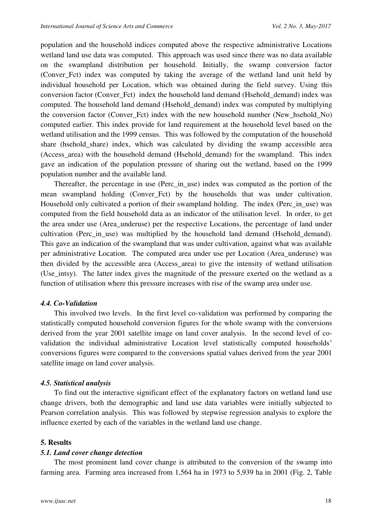population and the household indices computed above the respective administrative Locations wetland land use data was computed. This approach was used since there was no data available on the swampland distribution per household. Initially, the swamp conversion factor (Conver\_Fct) index was computed by taking the average of the wetland land unit held by individual household per Location, which was obtained during the field survey. Using this conversion factor (Conver\_Fct) index the household land demand (Hsehold\_demand) index was computed. The household land demand (Hsehold\_demand) index was computed by multiplying the conversion factor (Conver\_Fct) index with the new household number (New\_hsehold\_No) computed earlier. This index provide for land requirement at the household level based on the wetland utilisation and the 1999 census. This was followed by the computation of the household share (hsehold\_share) index, which was calculated by dividing the swamp accessible area (Access area) with the household demand (Hsehold demand) for the swampland. This index gave an indication of the population pressure of sharing out the wetland, based on the 1999 population number and the available land.

Thereafter, the percentage in use (Perc in use) index was computed as the portion of the mean swampland holding (Conver\_Fct) by the households that was under cultivation. Household only cultivated a portion of their swampland holding. The index (Perc\_in\_use) was computed from the field household data as an indicator of the utilisation level. In order, to get the area under use (Area\_underuse) per the respective Locations, the percentage of land under cultivation (Perc\_in\_use) was multiplied by the household land demand (Hsehold\_demand). This gave an indication of the swampland that was under cultivation, against what was available per administrative Location. The computed area under use per Location (Area\_underuse) was then divided by the accessible area (Access\_area) to give the intensity of wetland utilisation (Use\_intsy). The latter index gives the magnitude of the pressure exerted on the wetland as a function of utilisation where this pressure increases with rise of the swamp area under use.

#### *4.4. Co-Validation*

This involved two levels. In the first level co-validation was performed by comparing the statistically computed household conversion figures for the whole swamp with the conversions derived from the year 2001 satellite image on land cover analysis. In the second level of covalidation the individual administrative Location level statistically computed households' conversions figures were compared to the conversions spatial values derived from the year 2001 satellite image on land cover analysis.

#### *4.5. Statistical analysis*

To find out the interactive significant effect of the explanatory factors on wetland land use change drivers, both the demographic and land use data variables were initially subjected to Pearson correlation analysis. This was followed by stepwise regression analysis to explore the influence exerted by each of the variables in the wetland land use change.

#### **5. Results**

#### *5.1. Land cover change detection*

The most prominent land cover change is attributed to the conversion of the swamp into farming area. Farming area increased from 1,564 ha in 1973 to 5,939 ha in 2001 (Fig. 2, Table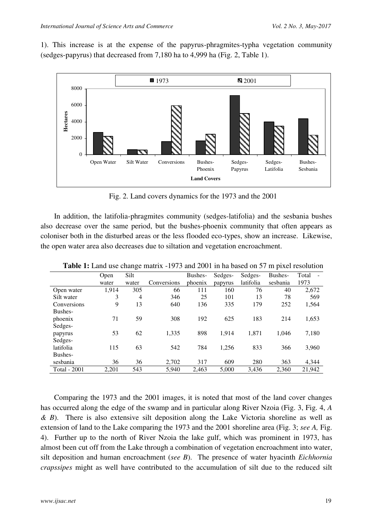1). This increase is at the expense of the papyrus-phragmites-typha vegetation community (sedges-papyrus) that decreased from 7,180 ha to 4,999 ha (Fig. 2, Table 1).



Fig. 2. Land covers dynamics for the 1973 and the 2001

In addition, the latifolia-phragmites community (sedges-latifolia) and the sesbania bushes also decrease over the same period, but the bushes-phoenix community that often appears as coloniser both in the disturbed areas or the less flooded eco-types, show an increase. Likewise, the open water area also decreases due to siltation and vegetation encroachment.

|              |       | Č              |             |         |         |           |          |        |
|--------------|-------|----------------|-------------|---------|---------|-----------|----------|--------|
|              | Open  | Silt           |             | Bushes- | Sedges- | Sedges-   | Bushes-  | Total  |
|              | water | water          | Conversions | phoenix | papyrus | latifolia | sesbania | 1973   |
| Open water   | 1,914 | 305            | 66          | 111     | 160     | 76        | 40       | 2,672  |
| Silt water   | 3     | $\overline{4}$ | 346         | 25      | 101     | 13        | 78       | 569    |
| Conversions  | 9     | 13             | 640         | 136     | 335     | 179       | 252      | 1,564  |
| Bushes-      |       |                |             |         |         |           |          |        |
| phoenix      | 71    | 59             | 308         | 192     | 625     | 183       | 214      | 1,653  |
| Sedges-      |       |                |             |         |         |           |          |        |
| papyrus      | 53    | 62             | 1,335       | 898     | 1.914   | 1,871     | 1,046    | 7,180  |
| Sedges-      |       |                |             |         |         |           |          |        |
| latifolia    | 115   | 63             | 542         | 784     | 1.256   | 833       | 366      | 3,960  |
| Bushes-      |       |                |             |         |         |           |          |        |
| sesbania     | 36    | 36             | 2,702       | 317     | 609     | 280       | 363      | 4,344  |
| Total - 2001 | 2,201 | 543            | 5,940       | 2.463   | 5.000   | 3,436     | 2,360    | 21,942 |

**Table 1:** Land use change matrix -1973 and 2001 in ha based on 57 m pixel resolution

Comparing the 1973 and the 2001 images, it is noted that most of the land cover changes has occurred along the edge of the swamp and in particular along River Nzoia (Fig. 3, Fig. 4, *A & B*). There is also extensive silt deposition along the Lake Victoria shoreline as well as extension of land to the Lake comparing the 1973 and the 2001 shoreline area (Fig. 3; *see A,* Fig. 4). Further up to the north of River Nzoia the lake gulf, which was prominent in 1973, has almost been cut off from the Lake through a combination of vegetation encroachment into water, silt deposition and human encroachment (*see B*). The presence of water hyacinth *Eichhornia crapssipes* might as well have contributed to the accumulation of silt due to the reduced silt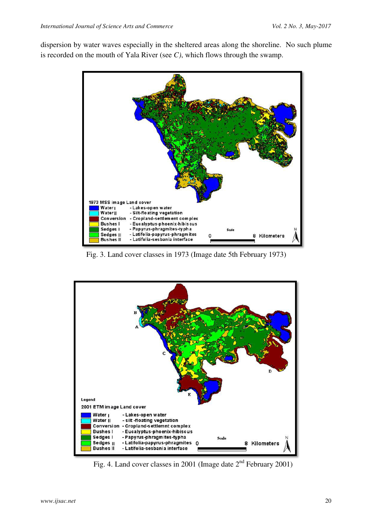dispersion by water waves especially in the sheltered areas along the shoreline. No such plume is recorded on the mouth of Yala River (see *C)*, which flows through the swamp.



Fig. 3. Land cover classes in 1973 (Image date 5th February 1973)



Fig. 4. Land cover classes in 2001 (Image date 2nd February 2001)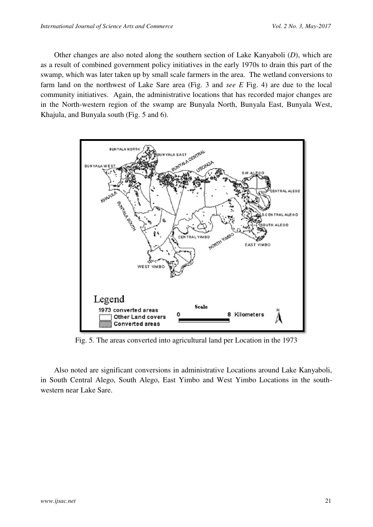Other changes are also noted along the southern section of Lake Kanyaboli (*D*), which are as a result of combined government policy initiatives in the early 1970s to drain this part of the swamp, which was later taken up by small scale farmers in the area. The wetland conversions to farm land on the northwest of Lake Sare area (Fig. 3 and *see E* Fig. 4) are due to the local community initiatives. Again, the administrative locations that has recorded major changes are in the North-western region of the swamp are Bunyala North, Bunyala East, Bunyala West, Khajula, and Bunyala south (Fig. 5 and 6).



Fig. 5. The areas converted into agricultural land per Location in the 1973

Also noted are significant conversions in administrative Locations around Lake Kanyaboli, in South Central Alego, South Alego, East Yimbo and West Yimbo Locations in the southwestern near Lake Sare.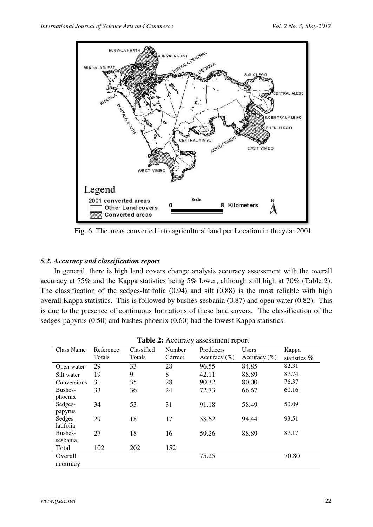

Fig. 6. The areas converted into agricultural land per Location in the year 2001

# *5.2. Accuracy and classification report*

In general, there is high land covers change analysis accuracy assessment with the overall accuracy at 75% and the Kappa statistics being 5% lower, although still high at 70% (Table 2). The classification of the sedges-latifolia (0.94) and silt (0.88) is the most reliable with high overall Kappa statistics. This is followed by bushes-sesbania (0.87) and open water (0.82). This is due to the presence of continuous formations of these land covers. The classification of the sedges-papyrus (0.50) and bushes-phoenix (0.60) had the lowest Kappa statistics.

| Table 2: Accuracy assessment report |
|-------------------------------------|
|-------------------------------------|

| Class Name  | Reference | Classified | Number  | Producers        | <b>Users</b>     | Kappa           |
|-------------|-----------|------------|---------|------------------|------------------|-----------------|
|             | Totals    | Totals     | Correct | Accuracy $(\% )$ | Accuracy $(\% )$ | statistics $\%$ |
| Open water  | 29        | 33         | 28      | 96.55            | 84.85            | 82.31           |
| Silt water  | 19        | 9          | 8       | 42.11            | 88.89            | 87.74           |
| Conversions | 31        | 35         | 28      | 90.32            | 80.00            | 76.37           |
| Bushes-     | 33        | 36         | 24      | 72.73            | 66.67            | 60.16           |
| phoenix     |           |            |         |                  |                  |                 |
| Sedges-     | 34        | 53         | 31      | 91.18            | 58.49            | 50.09           |
| papyrus     |           |            |         |                  |                  |                 |
| Sedges-     | 29        | 18         | 17      | 58.62            | 94.44            | 93.51           |
| latifolia   |           |            |         |                  |                  |                 |
| Bushes-     | 27        | 18         | 16      | 59.26            | 88.89            | 87.17           |
| sesbania    |           |            |         |                  |                  |                 |
| Total       | 102       | 202        | 152     |                  |                  |                 |
| Overall     |           |            |         | 75.25            |                  | 70.80           |
| accuracy    |           |            |         |                  |                  |                 |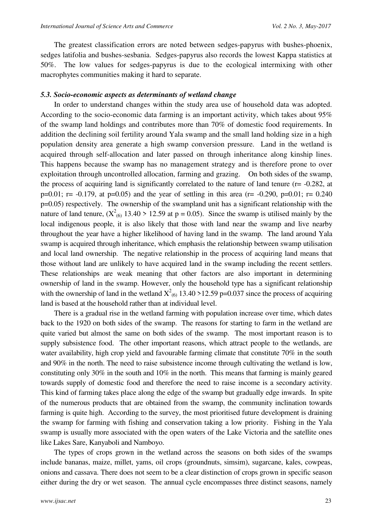The greatest classification errors are noted between sedges-papyrus with bushes-phoenix, sedges latifolia and bushes-sesbania. Sedges-papyrus also records the lowest Kappa statistics at 50%. The low values for sedges-papyrus is due to the ecological intermixing with other macrophytes communities making it hard to separate.

#### *5.3. Socio-economic aspects as determinants of wetland change*

In order to understand changes within the study area use of household data was adopted. According to the socio-economic data farming is an important activity, which takes about 95% of the swamp land holdings and contributes more than 70% of domestic food requirements. In addition the declining soil fertility around Yala swamp and the small land holding size in a high population density area generate a high swamp conversion pressure. Land in the wetland is acquired through self-allocation and later passed on through inheritance along kinship lines. This happens because the swamp has no management strategy and is therefore prone to over exploitation through uncontrolled allocation, farming and grazing. On both sides of the swamp, the process of acquiring land is significantly correlated to the nature of land tenure ( $r = -0.282$ , at p=0.01; r= -0.179, at p=0.05) and the year of settling in this area (r= -0.290, p=0.01; r= 0.240 p=0.05) respectively. The ownership of the swampland unit has a significant relationship with the nature of land tenure,  $(X_{(6)}^2 13.40 > 12.59$  at  $p = 0.05)$ . Since the swamp is utilised mainly by the local indigenous people, it is also likely that those with land near the swamp and live nearby throughout the year have a higher likelihood of having land in the swamp. The land around Yala swamp is acquired through inheritance, which emphasis the relationship between swamp utilisation and local land ownership. The negative relationship in the process of acquiring land means that those without land are unlikely to have acquired land in the swamp including the recent settlers. These relationships are weak meaning that other factors are also important in determining ownership of land in the swamp. However, only the household type has a significant relationship with the ownership of land in the wetland  $X^2_{(6)}$  13.40 >12.59 p=0.037 since the process of acquiring land is based at the household rather than at individual level.

There is a gradual rise in the wetland farming with population increase over time, which dates back to the 1920 on both sides of the swamp. The reasons for starting to farm in the wetland are quite varied but almost the same on both sides of the swamp. The most important reason is to supply subsistence food. The other important reasons, which attract people to the wetlands, are water availability, high crop yield and favourable farming climate that constitute 70% in the south and 90% in the north. The need to raise subsistence income through cultivating the wetland is low, constituting only 30% in the south and 10% in the north. This means that farming is mainly geared towards supply of domestic food and therefore the need to raise income is a secondary activity. This kind of farming takes place along the edge of the swamp but gradually edge inwards. In spite of the numerous products that are obtained from the swamp, the community inclination towards farming is quite high. According to the survey, the most prioritised future development is draining the swamp for farming with fishing and conservation taking a low priority. Fishing in the Yala swamp is usually more associated with the open waters of the Lake Victoria and the satellite ones like Lakes Sare, Kanyaboli and Namboyo.

The types of crops grown in the wetland across the seasons on both sides of the swamps include bananas, maize, millet, yams, oil crops (groundnuts, simsim), sugarcane, kales, cowpeas, onions and cassava. There does not seem to be a clear distinction of crops grown in specific season either during the dry or wet season. The annual cycle encompasses three distinct seasons, namely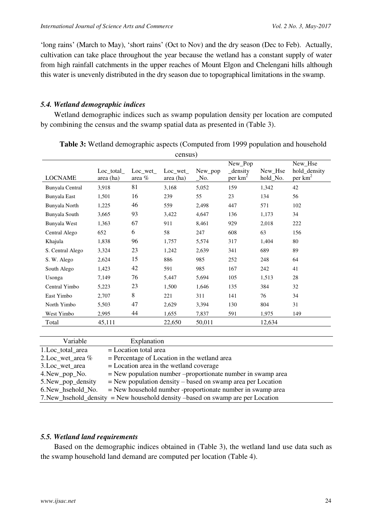'long rains' (March to May), 'short rains' (Oct to Nov) and the dry season (Dec to Feb). Actually, cultivation can take place throughout the year because the wetland has a constant supply of water from high rainfall catchments in the upper reaches of Mount Elgon and Chelengani hills although this water is unevenly distributed in the dry season due to topographical limitations in the swamp.

# *5.4. Wetland demographic indices*

Wetland demographic indices such as swamp population density per location are computed by combining the census and the swamp spatial data as presented in (Table 3).

|                  |                        |                   | census)              |                |                                  |                     |                                       |
|------------------|------------------------|-------------------|----------------------|----------------|----------------------------------|---------------------|---------------------------------------|
| <b>LOCNAME</b>   | Loc total<br>area (ha) | Loc wet<br>area % | Loc wet<br>area (ha) | New pop<br>No. | New_Pop<br>density<br>per $km^2$ | New_Hse<br>hold_No. | New_Hse<br>hold_density<br>per $km^2$ |
| Bunyala Central  | 3,918                  | 81                | 3,168                | 5,052          | 159                              | 1,342               | 42                                    |
| Bunyala East     | 1,501                  | 16                | 239                  | 55             | 23                               | 134                 | 56                                    |
| Bunyala North    | 1,225                  | 46                | 559                  | 2,498          | 447                              | 571                 | 102                                   |
| Bunyala South    | 3,665                  | 93                | 3,422                | 4,647          | 136                              | 1,173               | 34                                    |
| Bunyala West     | 1,363                  | 67                | 911                  | 8,461          | 929                              | 2,018               | 222                                   |
| Central Alego    | 652                    | 6                 | 58                   | 247            | 608                              | 63                  | 156                                   |
| Khajula          | 1,838                  | 96                | 1,757                | 5,574          | 317                              | 1,404               | 80                                    |
| S. Central Alego | 3,324                  | 23                | 1,242                | 2,639          | 341                              | 689                 | 89                                    |
| S. W. Alego      | 2,624                  | 15                | 886                  | 985            | 252                              | 248                 | 64                                    |
| South Alego      | 1,423                  | 42                | 591                  | 985            | 167                              | 242                 | 41                                    |
| Usonga           | 7,149                  | 76                | 5,447                | 5,694          | 105                              | 1,513               | 28                                    |
| Central Yimbo    | 5,223                  | 23                | 1,500                | 1,646          | 135                              | 384                 | 32                                    |
| East Yimbo       | 2,707                  | 8                 | 221                  | 311            | 141                              | 76                  | 34                                    |
| North Yimbo      | 5,503                  | 47                | 2,629                | 3,394          | 130                              | 804                 | 31                                    |
| West Yimbo       | 2,995                  | 44                | 1,655                | 7,837          | 591                              | 1,975               | 149                                   |
| Total            | 45,111                 |                   | 22,650               | 50,011         |                                  | 12,634              |                                       |

**Table 3:** Wetland demographic aspects (Computed from 1999 population and household census)

| Variable             | Explanation                                                                     |
|----------------------|---------------------------------------------------------------------------------|
| 1.Loc_total_area     | $=$ Location total area                                                         |
| 2. Loc_wet_area $\%$ | $=$ Percentage of Location in the wetland area                                  |
| 3.Loc_wet_area       | $=$ Location area in the wetland coverage                                       |
| 4. New_pop_No.       | $=$ New population number $-p$ roportionate number in swamp area                |
| 5. New_pop_density   | $=$ New population density $-$ based on swamp area per Location                 |
| 6. New hsehold No.   | $=$ New household number -proportionate number in swamp area                    |
|                      | 7. New_hsehold_density = New household density -based on swamp are per Location |

## *5.5. Wetland land requirements*

Based on the demographic indices obtained in (Table 3), the wetland land use data such as the swamp household land demand are computed per location (Table 4).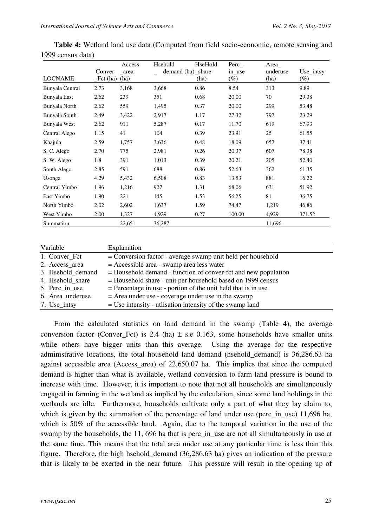|                 |             | Access | Hsehold           | HseHold | $Perc$ <sub><math>-</math></sub> | Area     |           |
|-----------------|-------------|--------|-------------------|---------|----------------------------------|----------|-----------|
|                 | Conver      | area   | demand (ha)_share |         | in_use                           | underuse | Use_intsy |
| <b>LOCNAME</b>  | $_Fct$ (ha) | (ha)   |                   | (ha)    | $(\%)$                           | (ha)     | $(\%)$    |
| Bunyala Central | 2.73        | 3,168  | 3,668             | 0.86    | 8.54                             | 313      | 9.89      |
| Bunyala East    | 2.62        | 239    | 351               | 0.68    | 20.00                            | 70       | 29.38     |
| Bunyala North   | 2.62        | 559    | 1,495             | 0.37    | 20.00                            | 299      | 53.48     |
| Bunyala South   | 2.49        | 3,422  | 2,917             | 1.17    | 27.32                            | 797      | 23.29     |
| Bunyala West    | 2.62        | 911    | 5,287             | 0.17    | 11.70                            | 619      | 67.93     |
| Central Alego   | 1.15        | 41     | 104               | 0.39    | 23.91                            | 25       | 61.55     |
| Khajula         | 2.59        | 1,757  | 3,636             | 0.48    | 18.09                            | 657      | 37.41     |
| S. C. Alego     | 2.70        | 775    | 2,981             | 0.26    | 20.37                            | 607      | 78.38     |
| S. W. Alego     | 1.8         | 391    | 1,013             | 0.39    | 20.21                            | 205      | 52.40     |
| South Alego     | 2.85        | 591    | 688               | 0.86    | 52.63                            | 362      | 61.35     |
| Usonga          | 4.29        | 5,432  | 6,508             | 0.83    | 13.53                            | 881      | 16.22     |
| Central Yimbo   | 1.96        | 1,216  | 927               | 1.31    | 68.06                            | 631      | 51.92     |
| East Yimbo      | 1.90        | 221    | 145               | 1.53    | 56.25                            | 81       | 36.75     |
| North Yimbo     | 2.02        | 2,602  | 1,637             | 1.59    | 74.47                            | 1,219    | 46.86     |
| West Yimbo      | 2.00        | 1,327  | 4,929             | 0.27    | 100.00                           | 4,929    | 371.52    |
| Summation       |             | 22,651 | 36,287            |         |                                  | 11,696   |           |

**Table 4:** Wetland land use data (Computed from field socio-economic, remote sensing and 1999 census data)

| Variable          | Explanation                                                     |
|-------------------|-----------------------------------------------------------------|
| 1. Conver_Fct     | = Conversion factor - average swamp unit held per household     |
| 2. Access_area    | $=$ Accessible area - swamp area less water                     |
| 3. Hsehold_demand | = Household demand - function of conver-fct and new population  |
| 4. Hsehold_share  | = Household share - unit per household based on 1999 census     |
| 5. Perc_in_use    | $=$ Percentage in use - portion of the unit held that is in use |
| 6. Area underuse  | $=$ Area under use - coverage under use in the swamp            |
| 7. Use_intsy      | $=$ Use intensity - utilisation intensity of the swamp land     |

From the calculated statistics on land demand in the swamp (Table 4), the average conversion factor (Conver Fct) is 2.4 (ha)  $\pm$  s.e 0.163, some households have smaller units while others have bigger units than this average. Using the average for the respective administrative locations, the total household land demand (hsehold\_demand) is 36,286.63 ha against accessible area (Access\_area) of 22,650.07 ha. This implies that since the computed demand is higher than what is available, wetland conversion to farm land pressure is bound to increase with time. However, it is important to note that not all households are simultaneously engaged in farming in the wetland as implied by the calculation, since some land holdings in the wetlands are idle. Furthermore, households cultivate only a part of what they lay claim to, which is given by the summation of the percentage of land under use (perc\_in\_use) 11,696 ha, which is 50% of the accessible land. Again, due to the temporal variation in the use of the swamp by the households, the 11, 696 ha that is perc\_in\_use are not all simultaneously in use at the same time. This means that the total area under use at any particular time is less than this figure. Therefore, the high hsehold\_demand (36,286.63 ha) gives an indication of the pressure that is likely to be exerted in the near future. This pressure will result in the opening up of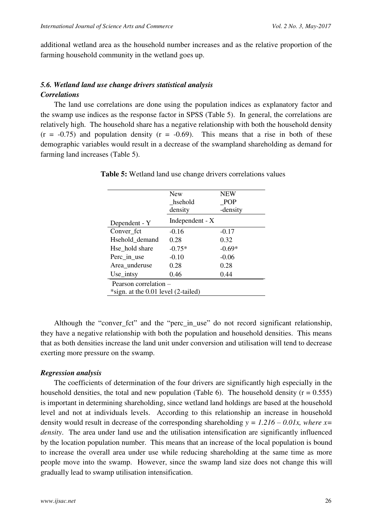additional wetland area as the household number increases and as the relative proportion of the farming household community in the wetland goes up.

# *5.6. Wetland land use change drivers statistical analysis Correlations*

The land use correlations are done using the population indices as explanatory factor and the swamp use indices as the response factor in SPSS (Table 5). In general, the correlations are relatively high. The household share has a negative relationship with both the household density  $(r = -0.75)$  and population density  $(r = -0.69)$ . This means that a rise in both of these demographic variables would result in a decrease of the swampland shareholding as demand for farming land increases (Table 5).

|                                     | <b>New</b><br>hsehold | <b>NEW</b><br>POP |  |  |  |  |
|-------------------------------------|-----------------------|-------------------|--|--|--|--|
|                                     | density               | -density          |  |  |  |  |
| Dependent - Y                       | Independent - X       |                   |  |  |  |  |
| Conver fct                          | $-0.16$               | $-0.17$           |  |  |  |  |
| Hsehold demand                      | 0.28                  | 0.32              |  |  |  |  |
| Hse hold share                      | $-0.75*$              | $-0.69*$          |  |  |  |  |
| Perc_in_use                         | $-0.10$               | $-0.06$           |  |  |  |  |
| Area_underuse                       | 0.28                  | 0.28              |  |  |  |  |
| $Use\_intsy$                        | 0.46                  | 0.44              |  |  |  |  |
| Pearson correlation –               |                       |                   |  |  |  |  |
| *sign. at the 0.01 level (2-tailed) |                       |                   |  |  |  |  |

**Table 5:** Wetland land use change drivers correlations values

Although the "conver\_fct" and the "perc\_in\_use" do not record significant relationship, they have a negative relationship with both the population and household densities. This means that as both densities increase the land unit under conversion and utilisation will tend to decrease exerting more pressure on the swamp.

#### *Regression analysis*

The coefficients of determination of the four drivers are significantly high especially in the household densities, the total and new population (Table 6). The household density  $(r = 0.555)$ is important in determining shareholding, since wetland land holdings are based at the household level and not at individuals levels. According to this relationship an increase in household density would result in decrease of the corresponding shareholding  $y = 1.216 - 0.01x$ , where  $x=$ *density*. The area under land use and the utilisation intensification are significantly influenced by the location population number. This means that an increase of the local population is bound to increase the overall area under use while reducing shareholding at the same time as more people move into the swamp. However, since the swamp land size does not change this will gradually lead to swamp utilisation intensification.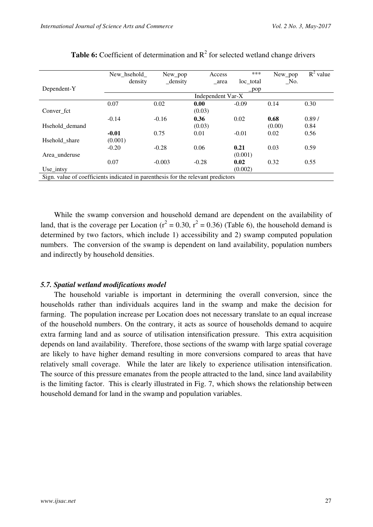|                                                                                  | New hsehold | New pop             | Access            | ***        | New_pop         | $R^2$ value |
|----------------------------------------------------------------------------------|-------------|---------------------|-------------------|------------|-----------------|-------------|
|                                                                                  | density     | $_{\text{density}}$ | area              | loc total  | $\sqrt{\ }$ No. |             |
| Dependent-Y                                                                      |             |                     |                   | $\Box$ pop |                 |             |
|                                                                                  |             |                     | Independent Var-X |            |                 |             |
|                                                                                  | 0.07        | 0.02                | 0.00              | $-0.09$    | 0.14            | 0.30        |
| Conver fct                                                                       |             |                     | (0.03)            |            |                 |             |
|                                                                                  | $-0.14$     | $-0.16$             | 0.36              | 0.02       | 0.68            | 0.89/       |
| Hsehold demand                                                                   |             |                     | (0.03)            |            | (0.00)          | 0.84        |
|                                                                                  | $-0.01$     | 0.75                | 0.01              | $-0.01$    | 0.02            | 0.56        |
| Hsehold share                                                                    | (0.001)     |                     |                   |            |                 |             |
|                                                                                  | $-0.20$     | $-0.28$             | 0.06              | 0.21       | 0.03            | 0.59        |
| Area_underuse                                                                    |             |                     |                   | (0.001)    |                 |             |
|                                                                                  | 0.07        | $-0.003$            | $-0.28$           | 0.02       | 0.32            | 0.55        |
| Use intsy                                                                        |             |                     |                   | (0.002)    |                 |             |
| Sign. value of coefficients indicated in parenthesis for the relevant predictors |             |                     |                   |            |                 |             |

|  | <b>Table 6:</b> Coefficient of determination and $R^2$ for selected wetland change drivers |  |  |  |  |
|--|--------------------------------------------------------------------------------------------|--|--|--|--|
|  |                                                                                            |  |  |  |  |

While the swamp conversion and household demand are dependent on the availability of land, that is the coverage per Location ( $r^2 = 0.30$ ,  $r^2 = 0.36$ ) (Table 6), the household demand is determined by two factors, which include 1) accessibility and 2) swamp computed population numbers. The conversion of the swamp is dependent on land availability, population numbers and indirectly by household densities.

#### *5.7. Spatial wetland modifications model*

The household variable is important in determining the overall conversion, since the households rather than individuals acquires land in the swamp and make the decision for farming. The population increase per Location does not necessary translate to an equal increase of the household numbers. On the contrary, it acts as source of households demand to acquire extra farming land and as source of utilisation intensification pressure. This extra acquisition depends on land availability. Therefore, those sections of the swamp with large spatial coverage are likely to have higher demand resulting in more conversions compared to areas that have relatively small coverage. While the later are likely to experience utilisation intensification. The source of this pressure emanates from the people attracted to the land, since land availability is the limiting factor. This is clearly illustrated in Fig. 7, which shows the relationship between household demand for land in the swamp and population variables.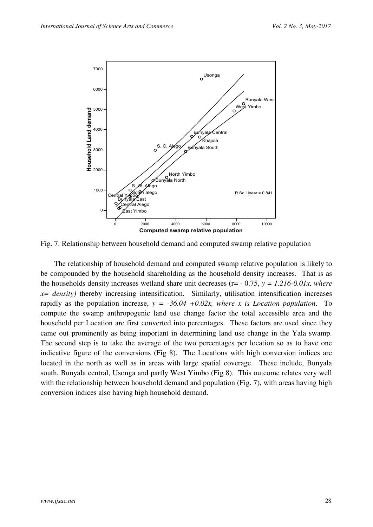

Fig. 7. Relationship between household demand and computed swamp relative population

The relationship of household demand and computed swamp relative population is likely to be compounded by the household shareholding as the household density increases. That is as the households density increases wetland share unit decreases (r= - 0.75, *y = 1.216-0.01x, where*   $x= density$ ) thereby increasing intensification. Similarly, utilisation intensification increases rapidly as the population increase,  $y = -36.04 + 0.02x$ , where x is Location population. To compute the swamp anthropogenic land use change factor the total accessible area and the household per Location are first converted into percentages. These factors are used since they came out prominently as being important in determining land use change in the Yala swamp. The second step is to take the average of the two percentages per location so as to have one indicative figure of the conversions (Fig 8). The Locations with high conversion indices are located in the north as well as in areas with large spatial coverage. These include, Bunyala south, Bunyala central, Usonga and partly West Yimbo (Fig 8). This outcome relates very well with the relationship between household demand and population (Fig. 7), with areas having high conversion indices also having high household demand.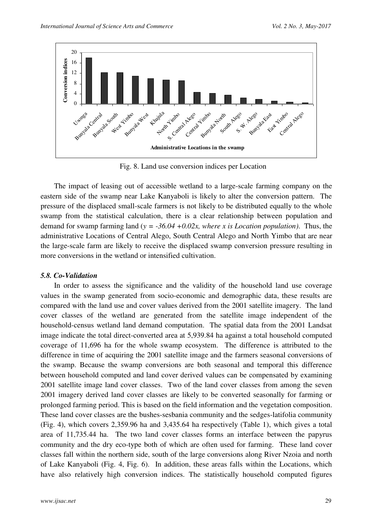

Fig. 8. Land use conversion indices per Location

The impact of leasing out of accessible wetland to a large-scale farming company on the eastern side of the swamp near Lake Kanyaboli is likely to alter the conversion pattern. The pressure of the displaced small-scale farmers is not likely to be distributed equally to the whole swamp from the statistical calculation, there is a clear relationship between population and demand for swamp farming land (*y = -36.04 +0.02x, where x is Location population)*. Thus, the administrative Locations of Central Alego, South Central Alego and North Yimbo that are near the large-scale farm are likely to receive the displaced swamp conversion pressure resulting in more conversions in the wetland or intensified cultivation.

#### *5.8. Co-Validation*

In order to assess the significance and the validity of the household land use coverage values in the swamp generated from socio-economic and demographic data, these results are compared with the land use and cover values derived from the 2001 satellite imagery. The land cover classes of the wetland are generated from the satellite image independent of the household-census wetland land demand computation. The spatial data from the 2001 Landsat image indicate the total direct-converted area at 5,939.84 ha against a total household computed coverage of 11,696 ha for the whole swamp ecosystem. The difference is attributed to the difference in time of acquiring the 2001 satellite image and the farmers seasonal conversions of the swamp. Because the swamp conversions are both seasonal and temporal this difference between household computed and land cover derived values can be compensated by examining 2001 satellite image land cover classes. Two of the land cover classes from among the seven 2001 imagery derived land cover classes are likely to be converted seasonally for farming or prolonged farming period. This is based on the field information and the vegetation composition. These land cover classes are the bushes-sesbania community and the sedges-latifolia community (Fig. 4), which covers 2,359.96 ha and 3,435.64 ha respectively (Table 1), which gives a total area of 11,735.44 ha. The two land cover classes forms an interface between the papyrus community and the dry eco-type both of which are often used for farming. These land cover classes fall within the northern side, south of the large conversions along River Nzoia and north of Lake Kanyaboli (Fig. 4, Fig. 6). In addition, these areas falls within the Locations, which have also relatively high conversion indices. The statistically household computed figures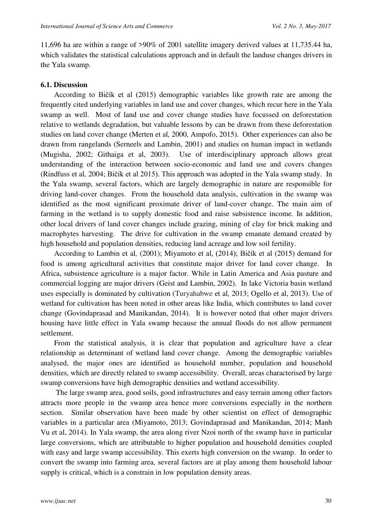11,696 ha are within a range of >90% of 2001 satellite imagery derived values at 11,735.44 ha, which validates the statistical calculations approach and in default the landuse changes drivers in the Yala swamp.

#### **6.1. Discussion**

According to Bičík et al (2015) demographic variables like growth rate are among the frequently cited underlying variables in land use and cover changes, which recur here in the Yala swamp as well. Most of land use and cover change studies have focussed on deforestation relative to wetlands degradation, but valuable lessons by can be drawn from these deforestation studies on land cover change (Merten et al*,* 2000, Ampofo, 2015). Other experiences can also be drawn from rangelands (Serneels and Lambin, 2001) and studies on human impact in wetlands (Mugisha, 2002; Githaiga et al, 2003). Use of interdisciplinary approach allows great understanding of the interaction between socio-economic and land use and covers changes (Rindfuss et al*,* 2004; Bičík et al 2015). This approach was adopted in the Yala swamp study. In the Yala swamp, several factors, which are largely demographic in nature are responsible for driving land-cover changes. From the household data analysis, cultivation in the swamp was identified as the most significant proximate driver of land-cover change. The main aim of farming in the wetland is to supply domestic food and raise subsistence income. In addition, other local drivers of land cover changes include grazing, mining of clay for brick making and macrophytes harvesting. The drive for cultivation in the swamp emanate demand created by high household and population densities, reducing land acreage and low soil fertility.

According to Lambin et al*,* (2001); [Miyamoto](http://www.sciencedirect.com/science/article/pii/S1389934114000768) et al, (2014); Bičík et al (2015) demand for food is among agricultural activities that constitute major driver for land cover change. In Africa, subsistence agriculture is a major factor. While in Latin America and Asia pasture and commercial logging are major drivers (Geist and Lambin, 2002). In lake Victoria basin wetland uses especially is dominated by cultivation (Turyahabwe et al*,* 2013; Ogello et al, 2013). Use of wetland for cultivation has been noted in other areas like India, which contributes to land cover change (Govindaprasad and Manikandan, 2014). It is however noted that other major drivers housing have little effect in Yala swamp because the annual floods do not allow permanent settlement.

From the statistical analysis, it is clear that population and agriculture have a clear relationship as determinant of wetland land cover change. Among the demographic variables analysed, the major ones are identified as household number, population and household densities, which are directly related to swamp accessibility. Overall, areas characterised by large swamp conversions have high demographic densities and wetland accessibility.

 The large swamp area, good soils, good infrastructures and easy terrain among other factors attracts more people in the swamp area hence more conversions especially in the northern section. Similar observation have been made by other scientist on effect of demographic variables in a particular area [\(Miyamoto,](http://www.sciencedirect.com/science/article/pii/S1389934114000768) 2013; Govindaprasad and Manikandan, 2014; Manh Vu et al, 2014). In Yala swamp, the area along river Nzoi north of the swamp have in particular large conversions, which are attributable to higher population and household densities coupled with easy and large swamp accessibility. This exerts high conversion on the swamp. In order to convert the swamp into farming area, several factors are at play among them household labour supply is critical, which is a constrain in low population density areas.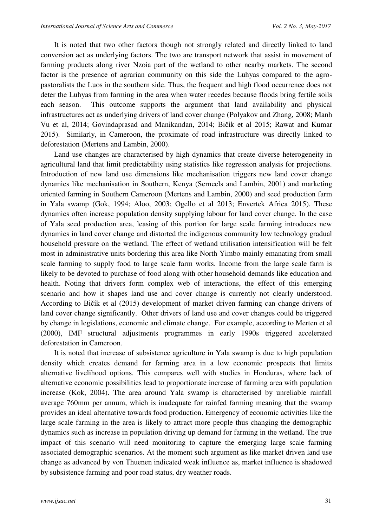It is noted that two other factors though not strongly related and directly linked to land conversion act as underlying factors. The two are transport network that assist in movement of farming products along river Nzoia part of the wetland to other nearby markets. The second factor is the presence of agrarian community on this side the Luhyas compared to the agropastoralists the Luos in the southern side. Thus, the frequent and high flood occurrence does not deter the Luhyas from farming in the area when water recedes because floods bring fertile soils each season. This outcome supports the argument that land availability and physical infrastructures act as underlying drivers of land cover change (Polyakov and Zhang, 2008; Manh Vu et al, 2014; Govindaprasad and Manikandan, 2014; Bičík et al 2015; Rawat and Kumar 2015). Similarly, in Cameroon, the proximate of road infrastructure was directly linked to deforestation (Mertens and Lambin, 2000).

Land use changes are characterised by high dynamics that create diverse heterogeneity in agricultural land that limit predictability using statistics like regression analysis for projections. Introduction of new land use dimensions like mechanisation triggers new land cover change dynamics like mechanisation in Southern, Kenya (Serneels and Lambin, 2001) and marketing oriented farming in Southern Cameroon (Mertens and Lambin, 2000) and seed production farm in Yala swamp (Gok, 1994; Aloo, 2003; Ogello et al 2013; Envertek Africa 2015). These dynamics often increase population density supplying labour for land cover change. In the case of Yala seed production area, leasing of this portion for large scale farming introduces new dynamics in land cover change and distorted the indigenous community low technology gradual household pressure on the wetland. The effect of wetland utilisation intensification will be felt most in administrative units bordering this area like North Yimbo mainly emanating from small scale farming to supply food to large scale farm works. Income from the large scale farm is likely to be devoted to purchase of food along with other household demands like education and health. Noting that drivers form complex web of interactions, the effect of this emerging scenario and how it shapes land use and cover change is currently not clearly understood. According to Bičík et al (2015) development of market driven farming can change drivers of land cover change significantly. Other drivers of land use and cover changes could be triggered by change in legislations, economic and climate change. For example, according to Merten et al (2000), IMF structural adjustments programmes in early 1990s triggered accelerated deforestation in Cameroon.

It is noted that increase of subsistence agriculture in Yala swamp is due to high population density which creates demand for farming area in a low economic prospects that limits alternative livelihood options. This compares well with studies in Honduras, where lack of alternative economic possibilities lead to proportionate increase of farming area with population increase (Kok, 2004). The area around Yala swamp is characterised by unreliable rainfall average 760mm per annum, which is inadequate for rainfed farming meaning that the swamp provides an ideal alternative towards food production. Emergency of economic activities like the large scale farming in the area is likely to attract more people thus changing the demographic dynamics such as increase in population driving up demand for farming in the wetland. The true impact of this scenario will need monitoring to capture the emerging large scale farming associated demographic scenarios. At the moment such argument as like market driven land use change as advanced by von Thuenen indicated weak influence as, market influence is shadowed by subsistence farming and poor road status, dry weather roads.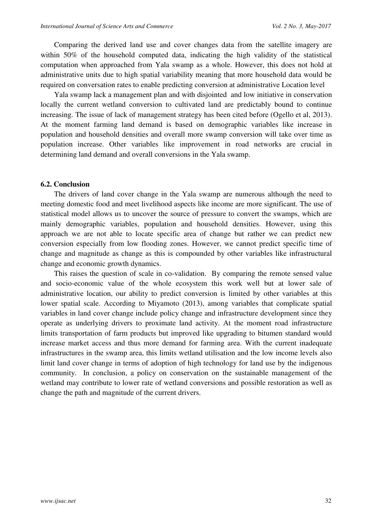Comparing the derived land use and cover changes data from the satellite imagery are within 50% of the household computed data, indicating the high validity of the statistical computation when approached from Yala swamp as a whole. However, this does not hold at administrative units due to high spatial variability meaning that more household data would be required on conversation rates to enable predicting conversion at administrative Location level

Yala swamp lack a management plan and with disjointed and low initiative in conservation locally the current wetland conversion to cultivated land are predictably bound to continue increasing. The issue of lack of management strategy has been cited before (Ogello et al, 2013). At the moment farming land demand is based on demographic variables like increase in population and household densities and overall more swamp conversion will take over time as population increase. Other variables like improvement in road networks are crucial in determining land demand and overall conversions in the Yala swamp.

#### **6.2. Conclusion**

The drivers of land cover change in the Yala swamp are numerous although the need to meeting domestic food and meet livelihood aspects like income are more significant. The use of statistical model allows us to uncover the source of pressure to convert the swamps, which are mainly demographic variables, population and household densities. However, using this approach we are not able to locate specific area of change but rather we can predict new conversion especially from low flooding zones. However, we cannot predict specific time of change and magnitude as change as this is compounded by other variables like infrastructural change and economic growth dynamics.

This raises the question of scale in co-validation. By comparing the remote sensed value and socio-economic value of the whole ecosystem this work well but at lower sale of administrative location, our ability to predict conversion is limited by other variables at this lower spatial scale. According to Miyamoto (2013), among variables that complicate spatial variables in land cover change include policy change and infrastructure development since they operate as underlying drivers to proximate land activity. At the moment road infrastructure limits transportation of farm products but improved like upgrading to bitumen standard would increase market access and thus more demand for farming area. With the current inadequate infrastructures in the swamp area, this limits wetland utilisation and the low income levels also limit land cover change in terms of adoption of high technology for land use by the indigenous community. In conclusion, a policy on conservation on the sustainable management of the wetland may contribute to lower rate of wetland conversions and possible restoration as well as change the path and magnitude of the current drivers.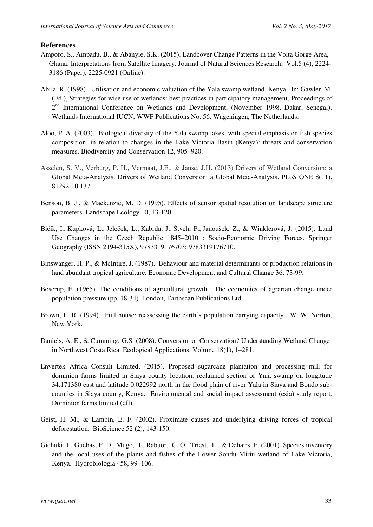#### **References**

- Ampofo, S., Ampadu, B., & Abanyie, S.K. (2015). Landcover Change Patterns in the Volta Gorge Area, Ghana: Interpretations from Satellite Imagery. Journal of Natural Sciences Research, Vol.5 (4), 2224- 3186 (Paper), 2225-0921 (Online).
- Abila, R. (1998). Utilisation and economic valuation of the Yala swamp wetland, Kenya. In: Gawler, M. (Ed.), Strategies for wise use of wetlands: best practices in participatory management, Proceedings of 2<sup>nd</sup> International Conference on Wetlands and Development, (November 1998, Dakar, Senegal). Wetlands International IUCN, WWF Publications No. 56, Wageningen, The Netherlands.
- Aloo, P. A. (2003). Biological diversity of the Yala swamp lakes, with special emphasis on fish species composition, in relation to changes in the Lake Victoria Basin (Kenya): threats and conservation measures. Biodiversity and Conservation 12, 905–920.
- Asselen, S. V., Verburg, P. H., Vermaat, J.E., & Janse, J.H. (2013) Drivers of Wetland Conversion: a Global Meta-Analysis. Drivers of Wetland Conversion: a Global Meta-Analysis. PLoS ONE 8(11), 81292-10.1371.
- Benson, B. J., & Mackenzie, M. D. (1995). Effects of sensor spatial resolution on landscape structure parameters. Landscape Ecology 10, 13-120.
- Bičík, I., Kupková, L., Jeleček, L., Kabrda, J., Štych, P., Janoušek, Z., & Winklerová, J. (2015). Land Use Changes in the Czech Republic 1845–2010 : Socio-Economic Driving Forces. [Springer](http://library.wur.nl/WebQuery/clc?titelbeschrijving=%22Springer%20Geography%22)  [Geography](http://library.wur.nl/WebQuery/clc?titelbeschrijving=%22Springer%20Geography%22) (ISSN 2194-315X), 9783319176703; 9783319176710.
- Binswanger, H. P., & McIntire, J. (1987). Behaviour and material determinants of production relations in land abundant tropical agriculture. Economic Development and Cultural Change 36, 73-99.
- Boserup, E. (1965). The conditions of agricultural growth. The economics of agrarian change under population pressure (pp. 18-34). London, Earthscan Publications Ltd.
- Brown, L. R. (1994). Full house: reassessing the earth's population carrying capacity. W. W. Norton, New York.
- Daniels, A. E., & Cumming, G.S. (2008). Conversion or Conservation? Understanding Wetland Change in Northwest Costa Rica. Ecological Applications. Volume 18(1), 1–281.
- Envertek Africa Consult Limited, (2015). Proposed sugarcane plantation and processing mill for dominion farms limited in Siaya county location: reclaimed section of Yala swamp on longitude 34.171380 east and latitude 0.022992 north in the flood plain of river Yala in Siaya and Bondo subcounties in Siaya county, Kenya. Environmental and social impact assessment (esia) study report. Dominion farms limited (dfl)
- Geist, H. M., & Lambin, E. F. (2002). Proximate causes and underlying driving forces of tropical deforestation. BioScience 52 (2), 143-150.
- Gichuki, J., Guebas, F. D., Mugo, J., Rabuor, C. O., Triest, L., & Dehairs, F. (2001). Species inventory and the local uses of the plants and fishes of the Lower Sondu Miriu wetland of Lake Victoria, Kenya. Hydrobiologia 458, 99–106.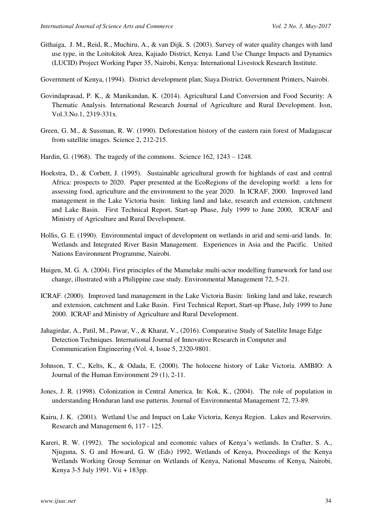- Githaiga, J. M., Reid, R., Muchiru, A., & van Dijk. S. (2003). Survey of water quality changes with land use type, in the Loitokitok Area, Kajiado District, Kenya. Land Use Change Impacts and Dynamics (LUCID) Project Working Paper 35, Nairobi, Kenya: International Livestock Research Institute.
- Government of Kenya, (1994). District development plan; Siaya District. Government Printers, Nairobi.
- Govindaprasad, P. K., & Manikandan, K. (2014). Agricultural Land Conversion and Food Security: A Thematic Analysis. International Research Journal of Agriculture and Rural Development. Issn, Vol.3.No.1, 2319-331x.
- Green, G. M., & Sussman, R. W. (1990). Deforestation history of the eastern rain forest of Madagascar from satellite images. Science 2, 212-215.
- Hardin, G. (1968). The tragedy of the commons. Science 162, 1243 1248.
- Hoekstra, D., & Corbett, J. (1995). Sustainable agricultural growth for highlands of east and central Africa: prospects to 2020. Paper presented at the EcoRegions of the developing world: a lens for assessing food, agriculture and the environment to the year 2020. In ICRAF, 2000. Improved land management in the Lake Victoria basin: linking land and lake, research and extension, catchment and Lake Basin. First Technical Report, Start-up Phase, July 1999 to June 2000, ICRAF and Ministry of Agriculture and Rural Development.
- Hollis, G. E. (1990). Environmental impact of development on wetlands in arid and semi-arid lands. In: Wetlands and Integrated River Basin Management. Experiences in Asia and the Pacific. United Nations Environment Programme, Nairobi.
- Huigen, M. G. A. (2004). First principles of the Mameluke multi-actor modelling framework for land use change, illustrated with a Philippine case study. Environmental Management 72, 5-21.
- ICRAF. (2000). Improved land management in the Lake Victoria Basin: linking land and lake, research and extension, catchment and Lake Basin. First Technical Report, Start-up Phase, July 1999 to June 2000. ICRAF and Ministry of Agriculture and Rural Development.
- Jahagirdar, A., Patil, M., Pawar, V., & Kharat, V., (2016). Comparative Study of Satellite Image Edge Detection Techniques. International Journal of Innovative Research in Computer and Communication Engineering (Vol. 4, Issue 5, 2320-9801.
- Johnson, T. C., Kelts, K., & Odada, E. (2000). The holocene history of Lake Victoria. AMBIO: A Journal of the Human Environment 29 (1), 2-11.
- Jones, J. R. (1998). Colonization in Central America. In: Kok, K., (2004). The role of population in understanding Honduran land use patterns. Journal of Environmental Management 72, 73-89.
- Kairu, J. K. (2001). Wetland Use and Impact on Lake Victoria, Kenya Region. Lakes and Reservoirs. Research and Management 6, 117 - 125.
- Kareri, R. W. (1992). The sociological and economic values of Kenya's wetlands. In Crafter, S. A., Njuguna, S. G and Howard, G. W (Eds) 1992, Wetlands of Kenya, Proceedings of the Kenya Wetlands Working Group Seminar on Wetlands of Kenya, National Museums of Kenya, Nairobi, Kenya 3-5 July 1991. Vii + 183pp.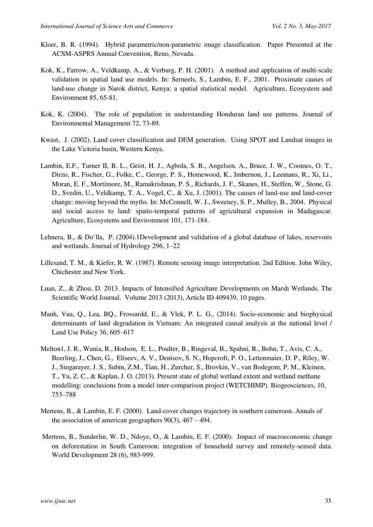- Kloer, B. R. (1994). Hybrid parametric/non-parametric image classification. Paper Presented at the ACSM-ASPRS Annual Convention, Reno, Nevada.
- Kok, K., Farrow, A., Veldkamp, A., & Verburg, P. H. (2001). A method and application of multi-scale validation in spatial land use models. In: Serneels, S., Lambin, E. F., 2001. Proximate causes of land-use change in Narok district, Kenya: a spatial statistical model. Agriculture, Ecosystem and Environment 85, 65-81.
- Kok, K. (2004). The role of population in understanding Honduran land use patterns. Journal of Environmental Management 72, 73-89.
- Kwast, J. (2002). Land cover classification and DEM generation. Using SPOT and Landsat images in the Lake Victoria basin, Western Kenya.
- Lambin, E.F., Turner II, B. L., Geist, H. J., Agbola, S. B., Angelsen, A., Bruce, J. W., Coomes, O. T., Dirzo, R., Fischer, G., Folke, C., George, P. S., Homewood, K., Imbernon, J., Leemans, R., Xi, Li., Moran, E. F., Mortimore, M., Ramakrishnan, P. S., Richards, J. F., Skanes, H., Steffen, W., Stone, G. D., Svedin, U., Veldkamp, T. A., Vogel, C., & Xu, J. (2001). The causes of land-use and land-cover change: moving beyond the myths. In: McConnell, W. J., Sweeney, S. P., Mulley, B., 2004. Physical and social access to land: spatio-temporal patterns of agricultural expansion in Madagascar. Agriculture, Ecosystems and Environment 101, 171-184.
- Lehnera, B., & Do¨lla, P. (2004).1Development and validation of a global database of lakes, reservoirs and wetlands. Journal of Hydrology 296, 1–22
- Lillesand, T. M., & Kiefer, R. W. (1987). Remote sensing image interpretation. 2nd Edition. John Wiley, Chichester and New York.
- Luan, Z., & Zhou, D. 2013. Impacts of Intensified Agriculture Developments on Marsh Wetlands. The Scientific World Journal. Volume 2013 (2013), Article ID 409439, 10 pages.
- Manh, Vua, Q., Lea, BQ., Frossardd, E., & Vlek, P. L. G., (2014). Socio-economic and biophysical determinants of land degradation in Vietnam: An integrated causal analysis at the national level / Land Use Policy 36, 605–617
- Melton1, J. R., Wania, R., Hodson, E. L., Poulter, B., Ringeval, B., Spahni, R., Bohn, T., Avis, C. A., Beerling, J., Chen, G., Eliseev, A. V., Denisov, S. N., Hopcroft, P. O., Lettenmaier, D. P., Riley, W. J., Singarayer, J. S., Subin, Z.M., Tian, H., Zurcher, S., Brovkin, V., van Bodegom, P. M., Kleinen, T., Yu, Z. C., & Kaplan, J. O. (2013). Present state of global wetland extent and wetland methane modelling: conclusions from a model inter-comparison project (WETCHIMP). Biogeosciences, 10, 753–788
- Mertens, B., & Lambin, E. F. (2000). Land-cover changes trajectory in southern cameroon. Annals of the association of american geographers  $90(3)$ ,  $467 - 494$ .
- Mertens, B., Sunderlin, W. D., Ndoye, O., & Lambin, E. F. (2000). Impact of macroeconomic change on deforestation in South Cameroon: integration of household survey and remotely-sensed data. World Development 28 (6), 983-999.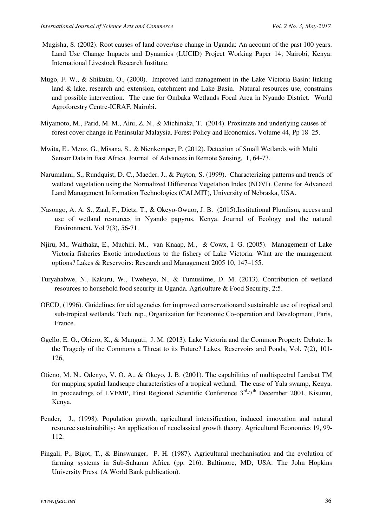- Mugisha, S. (2002). Root causes of land cover/use change in Uganda: An account of the past 100 years. Land Use Change Impacts and Dynamics (LUCID) Project Working Paper 14; Nairobi, Kenya: International Livestock Research Institute.
- Mugo, F. W., & Shikuku, O., (2000). Improved land management in the Lake Victoria Basin: linking land & lake, research and extension, catchment and Lake Basin. Natural resources use, constrains and possible intervention. The case for Ombaka Wetlands Focal Area in Nyando District. World Agroforestry Centre-ICRAF, Nairobi.
- [Miyamoto,](http://www.sciencedirect.com/science/article/pii/S1389934114000768) M., Parid, M. M., Aini, Z. N., & Michinaka, T. (2014). Proximate and underlying causes of forest cover change in Peninsular Malaysia. [Forest Policy and Economics](http://www.sciencedirect.com/science/journal/13899341)**.** [Volume 44,](http://www.sciencedirect.com/science/journal/13899341/44/supp/C) Pp 18–25.
- Mwita, E., Menz, G., Misana, S., & Nienkemper, P. (2012). Detection of Small Wetlands with Multi Sensor Data in East Africa. Journal of Advances in Remote Sensing, 1, 64-73.
- Narumalani, S., Rundquist, D. C., Maeder, J., & Payton, S. (1999). Characterizing patterns and trends of wetland vegetation using the Normalized Difference Vegetation Index (NDVI). Centre for Advanced Land Management Information Technologies (CALMIT), University of Nebraska, USA.
- Nasongo, A. A. S., Zaal, F., Dietz, T., & Okeyo-Owuor, J. B. (2015).Institutional Pluralism, access and use of wetland resources in Nyando papyrus, Kenya. Journal of Ecology and the natural Environment. Vol 7(3), 56-71.
- Njiru, M., Waithaka, E., Muchiri, M., van Knaap, M., & Cowx, I. G. (2005). Management of Lake Victoria fisheries Exotic introductions to the fishery of Lake Victoria: What are the management options? Lakes & Reservoirs: Research and Management 2005 10, 147–155.
- Turyahabwe, N., Kakuru, W., Tweheyo, N., & Tumusiime, D. M. (2013). Contribution of wetland resources to household food security in Uganda. Agriculture & Food Security, 2:5.
- OECD, (1996). Guidelines for aid agencies for improved conservationand sustainable use of tropical and sub-tropical wetlands, Tech. rep., Organization for Economic Co-operation and Development, Paris, France.
- Ogello, E. O., Obiero, K., & Munguti, J. M. (2013). Lake Victoria and the Common Property Debate: Is the Tragedy of the Commons a Threat to its Future? Lakes, Reservoirs and Ponds, Vol. 7(2), 101- 126,
- Otieno, M. N., Odenyo, V. O. A., & Okeyo, J. B. (2001). The capabilities of multispectral Landsat TM for mapping spatial landscape characteristics of a tropical wetland. The case of Yala swamp, Kenya. In proceedings of LVEMP, First Regional Scientific Conference  $3<sup>rd</sup>-7<sup>th</sup>$  December 2001, Kisumu, Kenya.
- Pender, J., (1998). Population growth, agricultural intensification, induced innovation and natural resource sustainability: An application of neoclassical growth theory. Agricultural Economics 19, 99- 112.
- Pingali, P., Bigot, T., & Binswanger, P. H. (1987). Agricultural mechanisation and the evolution of farming systems in Sub-Saharan Africa (pp. 216). Baltimore, MD, USA: The John Hopkins University Press. (A World Bank publication).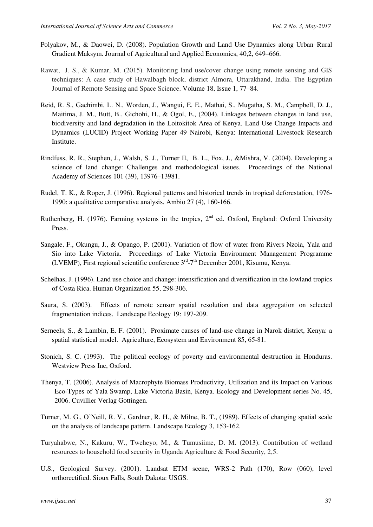- Polyakov, M., & Daowei, D. (2008). Population Growth and Land Use Dynamics along Urban–Rural Gradient Maksym. Journal of Agricultural and Applied Economics, 40,2, 649–666.
- Rawat, J. S., & Kumar, M. (2015). Monitoring land use/cover change using remote sensing and GIS techniques: A case study of Hawalbagh block, district Almora, Uttarakhand, India. [The Egyptian](http://www.sciencedirect.com/science/journal/11109823)  [Journal of Remote Sensing and Space Science.](http://www.sciencedirect.com/science/journal/11109823) [Volume 18, Issue 1,](http://www.sciencedirect.com/science/journal/11109823/18/1) 77–84.
- Reid, R. S., Gachimbi, L. N., Worden, J., Wangui, E. E., Mathai, S., Mugatha, S. M., Campbell, D. J., Maitima, J. M., Butt, B., Gichohi, H., & Ogol, E., (2004). Linkages between changes in land use, biodiversity and land degradation in the Loitokitok Area of Kenya. Land Use Change Impacts and Dynamics (LUCID) Project Working Paper 49 Nairobi, Kenya: International Livestock Research Institute.
- Rindfuss, R. R., Stephen, J., Walsh, S. J., Turner II, B. L., Fox, J., &Mishra, V. (2004). Developing a science of land change: Challenges and methodological issues. Proceedings of the National Academy of Sciences 101 (39), 13976–13981.
- Rudel, T. K., & Roper, J. (1996). Regional patterns and historical trends in tropical deforestation, 1976- 1990: a qualitative comparative analysis. Ambio 27 (4), 160-166.
- Ruthenberg, H. (1976). Farming systems in the tropics,  $2<sup>nd</sup>$  ed. Oxford, England: Oxford University Press.
- Sangale, F., Okungu, J., & Opango, P. (2001). Variation of flow of water from Rivers Nzoia, Yala and Sio into Lake Victoria. Proceedings of Lake Victoria Environment Management Programme (LVEMP), First regional scientific conference  $3<sup>rd</sup>-7<sup>th</sup>$  December 2001, Kisumu, Kenya.
- Schelhas, J. (1996). Land use choice and change: intensification and diversification in the lowland tropics of Costa Rica. Human Organization 55, 298-306.
- Saura, S. (2003). Effects of remote sensor spatial resolution and data aggregation on selected fragmentation indices. Landscape Ecology 19: 197-209.
- Serneels, S., & Lambin, E. F. (2001). Proximate causes of land-use change in Narok district, Kenya: a spatial statistical model. Agriculture, Ecosystem and Environment 85, 65-81.
- Stonich, S. C. (1993). The political ecology of poverty and environmental destruction in Honduras. Westview Press Inc, Oxford.
- Thenya, T. (2006). Analysis of Macrophyte Biomass Productivity, Utilization and its Impact on Various Eco-Types of Yala Swamp, Lake Victoria Basin, Kenya. Ecology and Development series No. 45, 2006. Cuvillier Verlag Gottingen.
- Turner, M. G., O'Neill, R. V., Gardner, R. H., & Milne, B. T., (1989). Effects of changing spatial scale on the analysis of landscape pattern. Landscape Ecology 3, 153-162.
- Turyahabwe, N., Kakuru, W., Tweheyo, M., & Tumusiime, D. M. (2013). Contribution of wetland resources to household food security in Uganda Agriculture & Food Security, 2,5.
- U.S., Geological Survey. (2001). Landsat ETM scene, WRS-2 Path (170), Row (060), level orthorectified. Sioux Falls, South Dakota: USGS.